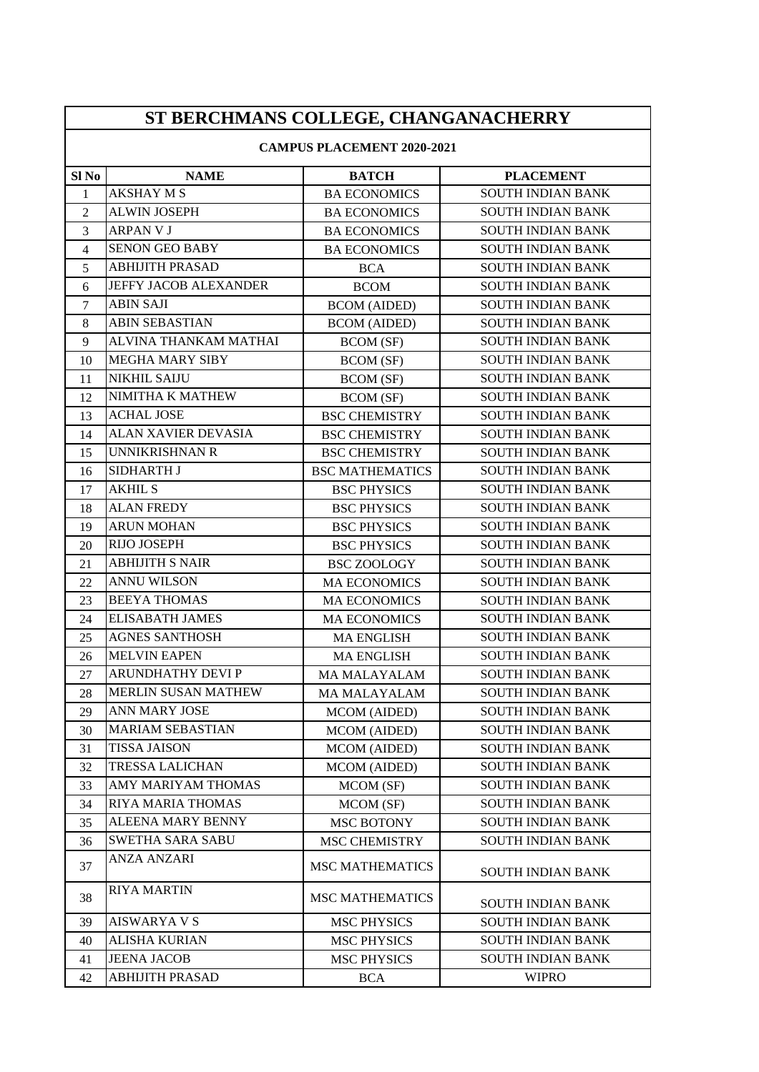| ST BERCHMANS COLLEGE, CHANGANACHERRY |                              |                        |                          |  |
|--------------------------------------|------------------------------|------------------------|--------------------------|--|
| <b>CAMPUS PLACEMENT 2020-2021</b>    |                              |                        |                          |  |
| Sl No                                | <b>NAME</b>                  | <b>BATCH</b>           | <b>PLACEMENT</b>         |  |
| $\mathbf{1}$                         | <b>AKSHAY M S</b>            | <b>BA ECONOMICS</b>    | <b>SOUTH INDIAN BANK</b> |  |
| $\overline{2}$                       | <b>ALWIN JOSEPH</b>          | <b>BA ECONOMICS</b>    | <b>SOUTH INDIAN BANK</b> |  |
| 3                                    | <b>ARPAN V J</b>             | <b>BA ECONOMICS</b>    | <b>SOUTH INDIAN BANK</b> |  |
| $\overline{4}$                       | <b>SENON GEO BABY</b>        | <b>BA ECONOMICS</b>    | <b>SOUTH INDIAN BANK</b> |  |
| 5                                    | <b>ABHIJITH PRASAD</b>       | <b>BCA</b>             | <b>SOUTH INDIAN BANK</b> |  |
| 6                                    | <b>JEFFY JACOB ALEXANDER</b> | <b>BCOM</b>            | <b>SOUTH INDIAN BANK</b> |  |
| $\overline{7}$                       | <b>ABIN SAJI</b>             | <b>BCOM</b> (AIDED)    | <b>SOUTH INDIAN BANK</b> |  |
| 8                                    | <b>ABIN SEBASTIAN</b>        | <b>BCOM</b> (AIDED)    | <b>SOUTH INDIAN BANK</b> |  |
| 9                                    | ALVINA THANKAM MATHAI        | <b>BCOM</b> (SF)       | <b>SOUTH INDIAN BANK</b> |  |
| 10                                   | MEGHA MARY SIBY              | <b>BCOM</b> (SF)       | <b>SOUTH INDIAN BANK</b> |  |
| 11                                   | <b>NIKHIL SAIJU</b>          | <b>BCOM</b> (SF)       | <b>SOUTH INDIAN BANK</b> |  |
| 12                                   | NIMITHA K MATHEW             | <b>BCOM</b> (SF)       | <b>SOUTH INDIAN BANK</b> |  |
| 13                                   | <b>ACHAL JOSE</b>            | <b>BSC CHEMISTRY</b>   | <b>SOUTH INDIAN BANK</b> |  |
| 14                                   | <b>ALAN XAVIER DEVASIA</b>   | <b>BSC CHEMISTRY</b>   | <b>SOUTH INDIAN BANK</b> |  |
| 15                                   | <b>UNNIKRISHNAN R</b>        | <b>BSC CHEMISTRY</b>   | <b>SOUTH INDIAN BANK</b> |  |
| 16                                   | SIDHARTH J                   | <b>BSC MATHEMATICS</b> | <b>SOUTH INDIAN BANK</b> |  |
| 17                                   | <b>AKHIL S</b>               | <b>BSC PHYSICS</b>     | <b>SOUTH INDIAN BANK</b> |  |
| 18                                   | <b>ALAN FREDY</b>            | <b>BSC PHYSICS</b>     | <b>SOUTH INDIAN BANK</b> |  |
| 19                                   | <b>ARUN MOHAN</b>            | <b>BSC PHYSICS</b>     | <b>SOUTH INDIAN BANK</b> |  |
| 20                                   | RIJO JOSEPH                  | <b>BSC PHYSICS</b>     | <b>SOUTH INDIAN BANK</b> |  |
| 21                                   | <b>ABHIJITH S NAIR</b>       | <b>BSC ZOOLOGY</b>     | <b>SOUTH INDIAN BANK</b> |  |
| 22                                   | <b>ANNU WILSON</b>           | <b>MA ECONOMICS</b>    | <b>SOUTH INDIAN BANK</b> |  |
| 23                                   | <b>BEEYA THOMAS</b>          | <b>MA ECONOMICS</b>    | <b>SOUTH INDIAN BANK</b> |  |
| 24                                   | <b>ELISABATH JAMES</b>       | <b>MA ECONOMICS</b>    | <b>SOUTH INDIAN BANK</b> |  |
| 25                                   | <b>AGNES SANTHOSH</b>        | <b>MA ENGLISH</b>      | <b>SOUTH INDIAN BANK</b> |  |
| 26                                   | <b>MELVIN EAPEN</b>          | <b>MA ENGLISH</b>      | <b>SOUTH INDIAN BANK</b> |  |
| $27\,$                               | ARUNDHATHY DEVI P            | MA MALAYALAM           | <b>SOUTH INDIAN BANK</b> |  |
| 28                                   | <b>MERLIN SUSAN MATHEW</b>   | <b>MA MALAYALAM</b>    | <b>SOUTH INDIAN BANK</b> |  |
| 29                                   | ANN MARY JOSE                | <b>MCOM</b> (AIDED)    | <b>SOUTH INDIAN BANK</b> |  |
| 30                                   | <b>MARIAM SEBASTIAN</b>      | <b>MCOM</b> (AIDED)    | <b>SOUTH INDIAN BANK</b> |  |
| 31                                   | <b>TISSA JAISON</b>          | <b>MCOM</b> (AIDED)    | <b>SOUTH INDIAN BANK</b> |  |
| 32                                   | <b>TRESSA LALICHAN</b>       | <b>MCOM</b> (AIDED)    | <b>SOUTH INDIAN BANK</b> |  |
| 33                                   | AMY MARIYAM THOMAS           | MCOM (SF)              | <b>SOUTH INDIAN BANK</b> |  |
| 34                                   | RIYA MARIA THOMAS            | MCOM (SF)              | <b>SOUTH INDIAN BANK</b> |  |
| 35                                   | <b>ALEENA MARY BENNY</b>     | <b>MSC BOTONY</b>      | <b>SOUTH INDIAN BANK</b> |  |
| 36                                   | <b>SWETHA SARA SABU</b>      | <b>MSC CHEMISTRY</b>   | <b>SOUTH INDIAN BANK</b> |  |
| 37                                   | ANZA ANZARI                  | <b>MSC MATHEMATICS</b> | SOUTH INDIAN BANK        |  |
| 38                                   | <b>RIYA MARTIN</b>           | <b>MSC MATHEMATICS</b> | <b>SOUTH INDIAN BANK</b> |  |
| 39                                   | <b>AISWARYA V S</b>          | <b>MSC PHYSICS</b>     | <b>SOUTH INDIAN BANK</b> |  |
| 40                                   | <b>ALISHA KURIAN</b>         | <b>MSC PHYSICS</b>     | <b>SOUTH INDIAN BANK</b> |  |
| 41                                   | <b>JEENA JACOB</b>           | <b>MSC PHYSICS</b>     | <b>SOUTH INDIAN BANK</b> |  |
| 42                                   | ABHIJITH PRASAD              | <b>BCA</b>             | <b>WIPRO</b>             |  |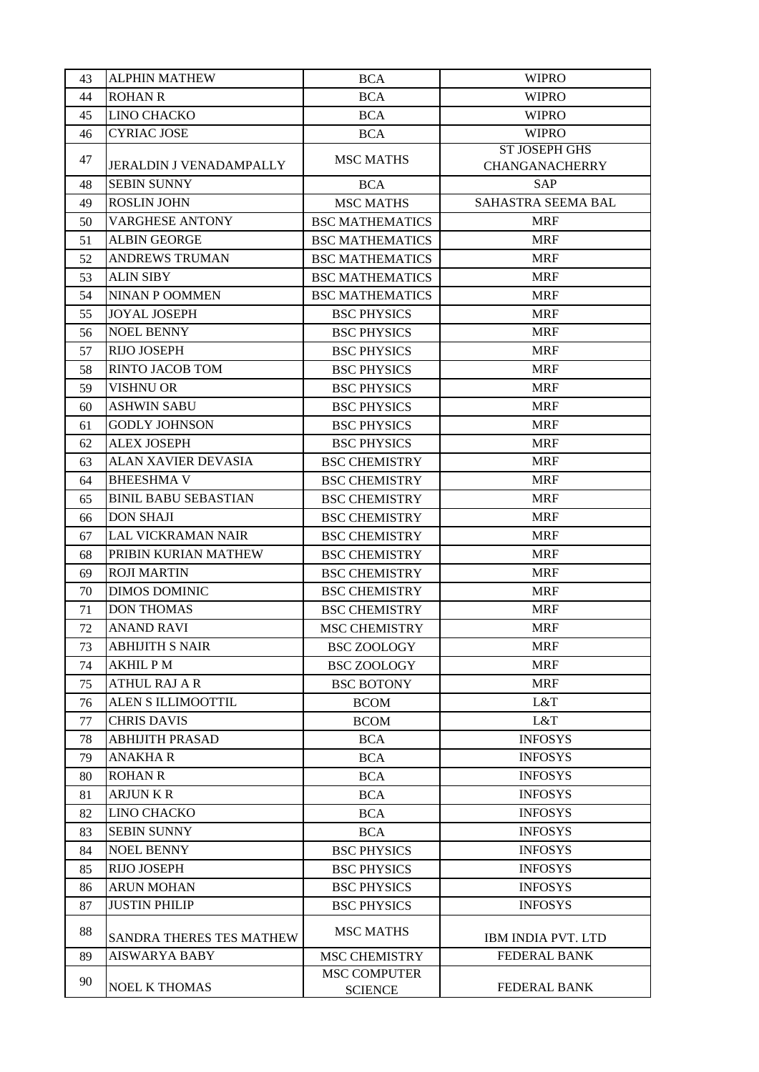| 43 | <b>ALPHIN MATHEW</b>           | <b>BCA</b>                            | <b>WIPRO</b>                                  |
|----|--------------------------------|---------------------------------------|-----------------------------------------------|
| 44 | <b>ROHAN R</b>                 | <b>BCA</b>                            | <b>WIPRO</b>                                  |
| 45 | <b>LINO CHACKO</b>             | <b>BCA</b>                            | <b>WIPRO</b>                                  |
| 46 | <b>CYRIAC JOSE</b>             | <b>BCA</b>                            | <b>WIPRO</b>                                  |
| 47 | <b>JERALDIN J VENADAMPALLY</b> | <b>MSC MATHS</b>                      | <b>ST JOSEPH GHS</b><br><b>CHANGANACHERRY</b> |
| 48 | <b>SEBIN SUNNY</b>             | <b>BCA</b>                            | <b>SAP</b>                                    |
| 49 | <b>ROSLIN JOHN</b>             | <b>MSC MATHS</b>                      | SAHASTRA SEEMA BAL                            |
| 50 | <b>VARGHESE ANTONY</b>         | <b>BSC MATHEMATICS</b>                | <b>MRF</b>                                    |
| 51 | <b>ALBIN GEORGE</b>            | <b>BSC MATHEMATICS</b>                | <b>MRF</b>                                    |
| 52 | <b>ANDREWS TRUMAN</b>          | <b>BSC MATHEMATICS</b>                | <b>MRF</b>                                    |
| 53 | <b>ALIN SIBY</b>               | <b>BSC MATHEMATICS</b>                | <b>MRF</b>                                    |
| 54 | <b>NINAN P OOMMEN</b>          | <b>BSC MATHEMATICS</b>                | <b>MRF</b>                                    |
| 55 | <b>JOYAL JOSEPH</b>            | <b>BSC PHYSICS</b>                    | <b>MRF</b>                                    |
| 56 | <b>NOEL BENNY</b>              | <b>BSC PHYSICS</b>                    | <b>MRF</b>                                    |
| 57 | <b>RIJO JOSEPH</b>             | <b>BSC PHYSICS</b>                    | <b>MRF</b>                                    |
| 58 | <b>RINTO JACOB TOM</b>         | <b>BSC PHYSICS</b>                    | <b>MRF</b>                                    |
| 59 | <b>VISHNU OR</b>               | <b>BSC PHYSICS</b>                    | <b>MRF</b>                                    |
| 60 | <b>ASHWIN SABU</b>             | <b>BSC PHYSICS</b>                    | <b>MRF</b>                                    |
| 61 | <b>GODLY JOHNSON</b>           | <b>BSC PHYSICS</b>                    | <b>MRF</b>                                    |
| 62 | <b>ALEX JOSEPH</b>             | <b>BSC PHYSICS</b>                    | <b>MRF</b>                                    |
| 63 | ALAN XAVIER DEVASIA            | <b>BSC CHEMISTRY</b>                  | <b>MRF</b>                                    |
| 64 | <b>BHEESHMA V</b>              | <b>BSC CHEMISTRY</b>                  | <b>MRF</b>                                    |
| 65 | <b>BINIL BABU SEBASTIAN</b>    | <b>BSC CHEMISTRY</b>                  | <b>MRF</b>                                    |
| 66 | <b>DON SHAJI</b>               | <b>BSC CHEMISTRY</b>                  | <b>MRF</b>                                    |
| 67 | LAL VICKRAMAN NAIR             | <b>BSC CHEMISTRY</b>                  | <b>MRF</b>                                    |
| 68 | PRIBIN KURIAN MATHEW           | <b>BSC CHEMISTRY</b>                  | <b>MRF</b>                                    |
| 69 | <b>ROJI MARTIN</b>             | <b>BSC CHEMISTRY</b>                  | <b>MRF</b>                                    |
| 70 | <b>DIMOS DOMINIC</b>           | <b>BSC CHEMISTRY</b>                  | <b>MRF</b>                                    |
| 71 | <b>DON THOMAS</b>              | <b>BSC CHEMISTRY</b>                  | <b>MRF</b>                                    |
| 72 | <b>ANAND RAVI</b>              | <b>MSC CHEMISTRY</b>                  | <b>MRF</b>                                    |
| 73 | <b>ABHIJITH S NAIR</b>         | <b>BSC ZOOLOGY</b>                    | <b>MRF</b>                                    |
| 74 | <b>AKHIL PM</b>                | <b>BSC ZOOLOGY</b>                    | <b>MRF</b>                                    |
| 75 | <b>ATHUL RAJ A R</b>           | <b>BSC BOTONY</b>                     | <b>MRF</b>                                    |
| 76 | ALEN S ILLIMOOTTIL             | <b>BCOM</b>                           | L&T                                           |
| 77 | <b>CHRIS DAVIS</b>             | <b>BCOM</b>                           | L&T                                           |
| 78 | <b>ABHIJITH PRASAD</b>         | <b>BCA</b>                            | <b>INFOSYS</b>                                |
| 79 | <b>ANAKHAR</b>                 | <b>BCA</b>                            | <b>INFOSYS</b>                                |
| 80 | <b>ROHAN R</b>                 | <b>BCA</b>                            | <b>INFOSYS</b>                                |
| 81 | <b>ARJUNKR</b>                 | <b>BCA</b>                            | <b>INFOSYS</b>                                |
| 82 | <b>LINO CHACKO</b>             | <b>BCA</b>                            | <b>INFOSYS</b>                                |
| 83 | <b>SEBIN SUNNY</b>             | <b>BCA</b>                            | <b>INFOSYS</b>                                |
| 84 | <b>NOEL BENNY</b>              | <b>BSC PHYSICS</b>                    | <b>INFOSYS</b>                                |
| 85 | RIJO JOSEPH                    | <b>BSC PHYSICS</b>                    | <b>INFOSYS</b>                                |
| 86 | <b>ARUN MOHAN</b>              | <b>BSC PHYSICS</b>                    | <b>INFOSYS</b>                                |
| 87 | <b>JUSTIN PHILIP</b>           | <b>BSC PHYSICS</b>                    | <b>INFOSYS</b>                                |
|    |                                |                                       |                                               |
| 88 | SANDRA THERES TES MATHEW       | <b>MSC MATHS</b>                      | IBM INDIA PVT. LTD                            |
| 89 | <b>AISWARYA BABY</b>           | <b>MSC CHEMISTRY</b>                  | <b>FEDERAL BANK</b>                           |
| 90 | <b>NOEL K THOMAS</b>           | <b>MSC COMPUTER</b><br><b>SCIENCE</b> | <b>FEDERAL BANK</b>                           |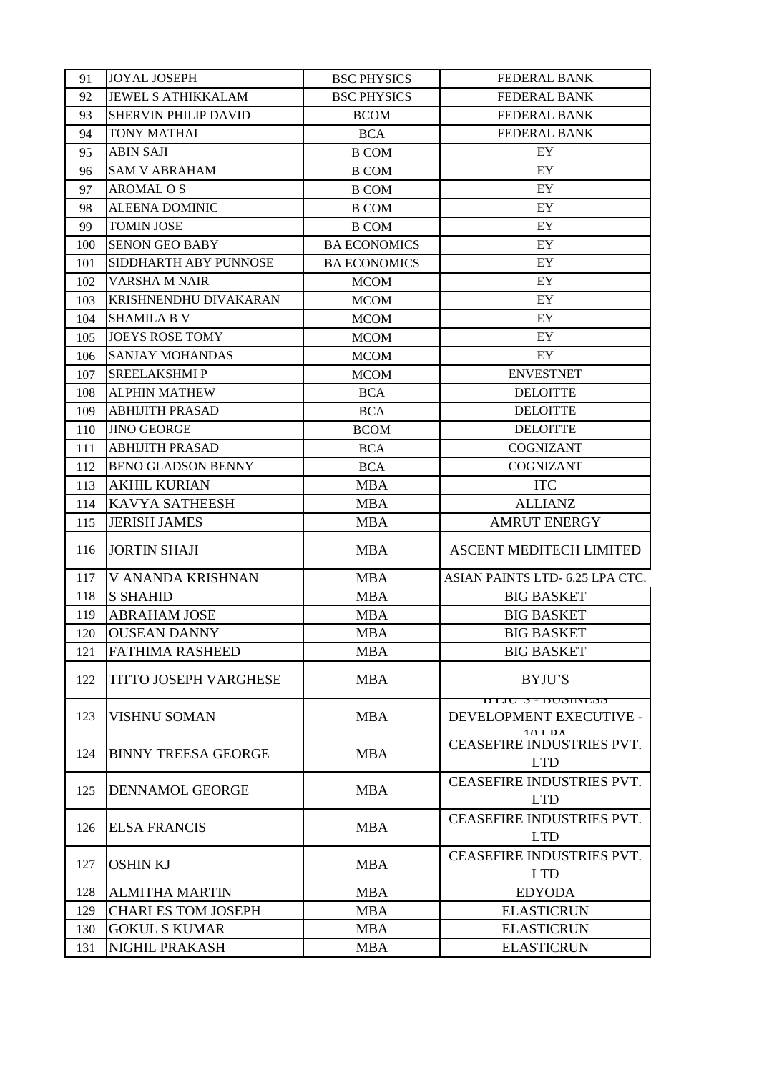| 91  | <b>JOYAL JOSEPH</b>          | <b>BSC PHYSICS</b>  | <b>FEDERAL BANK</b>                                             |
|-----|------------------------------|---------------------|-----------------------------------------------------------------|
| 92  | <b>JEWEL S ATHIKKALAM</b>    | <b>BSC PHYSICS</b>  | <b>FEDERAL BANK</b>                                             |
| 93  | <b>SHERVIN PHILIP DAVID</b>  | <b>BCOM</b>         | <b>FEDERAL BANK</b>                                             |
| 94  | <b>TONY MATHAI</b>           | <b>BCA</b>          | <b>FEDERAL BANK</b>                                             |
| 95  | <b>ABIN SAJI</b>             | <b>B COM</b>        | EY                                                              |
| 96  | <b>SAM V ABRAHAM</b>         | <b>B COM</b>        | EY                                                              |
| 97  | <b>AROMAL O S</b>            | <b>B COM</b>        | EY                                                              |
| 98  | <b>ALEENA DOMINIC</b>        | <b>B COM</b>        | EY                                                              |
| 99  | <b>TOMIN JOSE</b>            | <b>B COM</b>        | EY                                                              |
| 100 | <b>SENON GEO BABY</b>        | <b>BA ECONOMICS</b> | EY                                                              |
| 101 | SIDDHARTH ABY PUNNOSE        | <b>BA ECONOMICS</b> | EY                                                              |
| 102 | <b>VARSHA M NAIR</b>         | <b>MCOM</b>         | EY                                                              |
| 103 | KRISHNENDHU DIVAKARAN        | <b>MCOM</b>         | EY                                                              |
| 104 | <b>SHAMILA B V</b>           | <b>MCOM</b>         | EY                                                              |
| 105 | <b>JOEYS ROSE TOMY</b>       | <b>MCOM</b>         | EY                                                              |
| 106 | <b>SANJAY MOHANDAS</b>       | <b>MCOM</b>         | EY                                                              |
| 107 | <b>SREELAKSHMIP</b>          | <b>MCOM</b>         | <b>ENVESTNET</b>                                                |
| 108 | <b>ALPHIN MATHEW</b>         | <b>BCA</b>          | <b>DELOITTE</b>                                                 |
| 109 | <b>ABHIJITH PRASAD</b>       | <b>BCA</b>          | <b>DELOITTE</b>                                                 |
|     | <b>JINO GEORGE</b>           |                     |                                                                 |
| 110 | <b>ABHIJITH PRASAD</b>       | <b>BCOM</b>         | <b>DELOITTE</b><br><b>COGNIZANT</b>                             |
| 111 |                              | <b>BCA</b>          |                                                                 |
| 112 | <b>BENO GLADSON BENNY</b>    | <b>BCA</b>          | <b>COGNIZANT</b>                                                |
| 113 | <b>AKHIL KURIAN</b>          | <b>MBA</b>          | <b>ITC</b>                                                      |
| 114 | <b>KAVYA SATHEESH</b>        | <b>MBA</b>          | <b>ALLIANZ</b>                                                  |
| 115 | <b>JERISH JAMES</b>          | <b>MBA</b>          | <b>AMRUT ENERGY</b>                                             |
| 116 | <b>JORTIN SHAJI</b>          | <b>MBA</b>          | <b>ASCENT MEDITECH LIMITED</b>                                  |
| 117 | V ANANDA KRISHNAN            | <b>MBA</b>          | ASIAN PAINTS LTD- 6.25 LPA CTC.                                 |
| 118 | <b>S SHAHID</b>              | <b>MBA</b>          | <b>BIG BASKET</b>                                               |
| 119 | <b>ABRAHAM JOSE</b>          | <b>MBA</b>          | <b>BIG BASKET</b>                                               |
| 120 | <b>OUSEAN DANNY</b>          | <b>MBA</b>          | <b>BIG BASKET</b>                                               |
| 121 | <b>FATHIMA RASHEED</b>       | <b>MBA</b>          | <b>BIG BASKET</b>                                               |
| 122 | <b>TITTO JOSEPH VARGHESE</b> | <b>MBA</b>          | <b>BYJU'S</b>                                                   |
| 123 | <b>VISHNU SOMAN</b>          | <b>MBA</b>          | <u> ccuriicud - c utita</u><br>DEVELOPMENT EXECUTIVE -<br>10IDA |
| 124 | <b>BINNY TREESA GEORGE</b>   | <b>MBA</b>          | CEASEFIRE INDUSTRIES PVT.<br><b>LTD</b>                         |
| 125 | <b>DENNAMOL GEORGE</b>       | <b>MBA</b>          | <b>CEASEFIRE INDUSTRIES PVT.</b><br><b>LTD</b>                  |
| 126 | <b>ELSA FRANCIS</b>          | <b>MBA</b>          | CEASEFIRE INDUSTRIES PVT.<br><b>LTD</b>                         |
| 127 | <b>OSHIN KJ</b>              | <b>MBA</b>          | <b>CEASEFIRE INDUSTRIES PVT.</b><br><b>LTD</b>                  |
| 128 | <b>ALMITHA MARTIN</b>        | <b>MBA</b>          | <b>EDYODA</b>                                                   |
| 129 | <b>CHARLES TOM JOSEPH</b>    | <b>MBA</b>          | <b>ELASTICRUN</b>                                               |
| 130 | <b>GOKUL S KUMAR</b>         | <b>MBA</b>          | <b>ELASTICRUN</b>                                               |
| 131 | <b>NIGHIL PRAKASH</b>        | <b>MBA</b>          | <b>ELASTICRUN</b>                                               |
|     |                              |                     |                                                                 |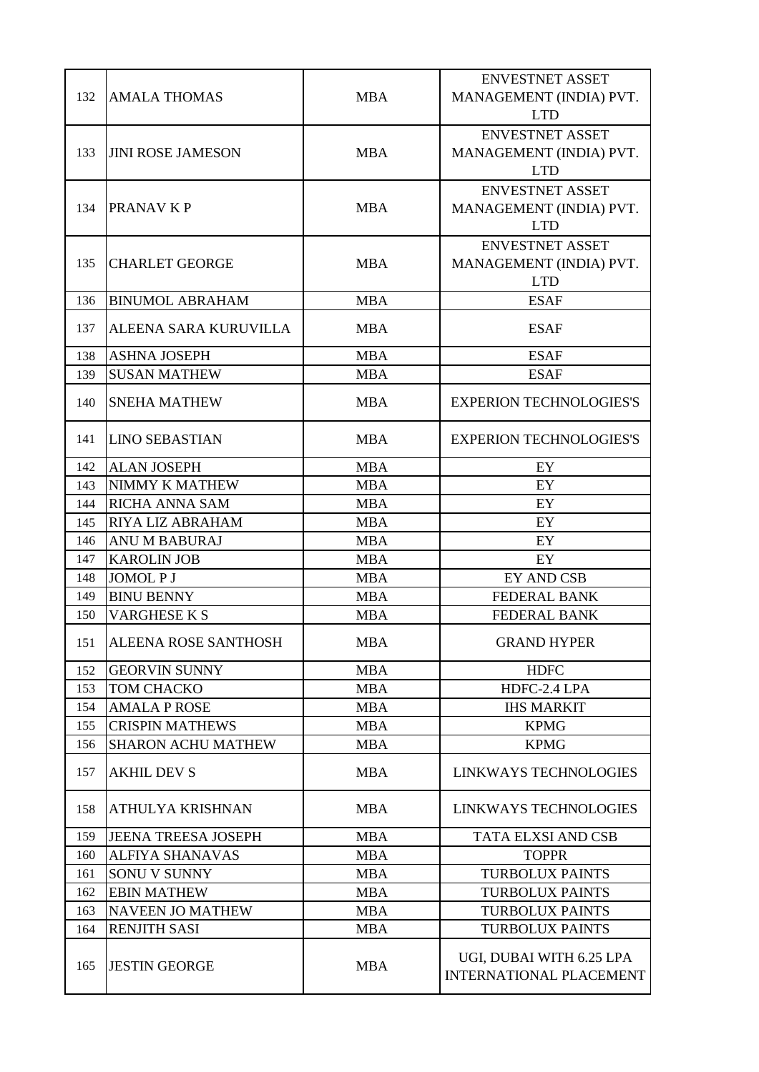| 132 | <b>AMALA THOMAS</b>         | <b>MBA</b> | <b>ENVESTNET ASSET</b><br>MANAGEMENT (INDIA) PVT.<br><b>LTD</b> |
|-----|-----------------------------|------------|-----------------------------------------------------------------|
| 133 | <b>JINI ROSE JAMESON</b>    | <b>MBA</b> | <b>ENVESTNET ASSET</b><br>MANAGEMENT (INDIA) PVT.<br><b>LTD</b> |
| 134 | <b>PRANAV K P</b>           | <b>MBA</b> | <b>ENVESTNET ASSET</b><br>MANAGEMENT (INDIA) PVT.<br><b>LTD</b> |
| 135 | <b>CHARLET GEORGE</b>       | <b>MBA</b> | <b>ENVESTNET ASSET</b><br>MANAGEMENT (INDIA) PVT.<br><b>LTD</b> |
| 136 | <b>BINUMOL ABRAHAM</b>      | MBA        | <b>ESAF</b>                                                     |
| 137 | ALEENA SARA KURUVILLA       | <b>MBA</b> | <b>ESAF</b>                                                     |
| 138 | <b>ASHNA JOSEPH</b>         | <b>MBA</b> | <b>ESAF</b>                                                     |
| 139 | <b>SUSAN MATHEW</b>         | <b>MBA</b> | <b>ESAF</b>                                                     |
| 140 | <b>SNEHA MATHEW</b>         | <b>MBA</b> | <b>EXPERION TECHNOLOGIES'S</b>                                  |
| 141 | LINO SEBASTIAN              | <b>MBA</b> | <b>EXPERION TECHNOLOGIES'S</b>                                  |
| 142 | <b>ALAN JOSEPH</b>          | <b>MBA</b> | EY                                                              |
| 143 | NIMMY K MATHEW              | <b>MBA</b> | EY                                                              |
| 144 | <b>RICHA ANNA SAM</b>       | <b>MBA</b> | EY                                                              |
| 145 | <b>RIYA LIZ ABRAHAM</b>     | <b>MBA</b> | EY                                                              |
| 146 | <b>ANU M BABURAJ</b>        | <b>MBA</b> | EY                                                              |
| 147 | <b>KAROLIN JOB</b>          | <b>MBA</b> | EY                                                              |
| 148 | JOMOL P J                   | <b>MBA</b> | <b>EY AND CSB</b>                                               |
| 149 | <b>BINU BENNY</b>           | <b>MBA</b> | <b>FEDERAL BANK</b>                                             |
| 150 | <b>VARGHESE K S</b>         | <b>MBA</b> | <b>FEDERAL BANK</b>                                             |
| 151 | <b>ALEENA ROSE SANTHOSH</b> | <b>MBA</b> | <b>GRAND HYPER</b>                                              |
| 152 | <b>GEORVIN SUNNY</b>        | <b>MBA</b> | <b>HDFC</b>                                                     |
| 153 | TOM CHACKO                  | <b>MBA</b> | HDFC-2.4 LPA                                                    |
| 154 | <b>AMALA P ROSE</b>         | <b>MBA</b> | <b>IHS MARKIT</b>                                               |
| 155 | <b>CRISPIN MATHEWS</b>      | <b>MBA</b> | <b>KPMG</b>                                                     |
| 156 | <b>SHARON ACHU MATHEW</b>   | <b>MBA</b> | <b>KPMG</b>                                                     |
| 157 | <b>AKHIL DEV S</b>          | <b>MBA</b> | LINKWAYS TECHNOLOGIES                                           |
| 158 | <b>ATHULYA KRISHNAN</b>     | <b>MBA</b> | LINKWAYS TECHNOLOGIES                                           |
| 159 | <b>JEENA TREESA JOSEPH</b>  | <b>MBA</b> | <b>TATA ELXSI AND CSB</b>                                       |
| 160 | <b>ALFIYA SHANAVAS</b>      | <b>MBA</b> | <b>TOPPR</b>                                                    |
| 161 | <b>SONU V SUNNY</b>         | <b>MBA</b> | <b>TURBOLUX PAINTS</b>                                          |
| 162 | <b>EBIN MATHEW</b>          | <b>MBA</b> | <b>TURBOLUX PAINTS</b>                                          |
| 163 | <b>NAVEEN JO MATHEW</b>     | <b>MBA</b> | <b>TURBOLUX PAINTS</b>                                          |
| 164 | <b>RENJITH SASI</b>         | <b>MBA</b> | <b>TURBOLUX PAINTS</b>                                          |
| 165 | <b>JESTIN GEORGE</b>        | <b>MBA</b> | UGI, DUBAI WITH 6.25 LPA<br>INTERNATIONAL PLACEMENT             |